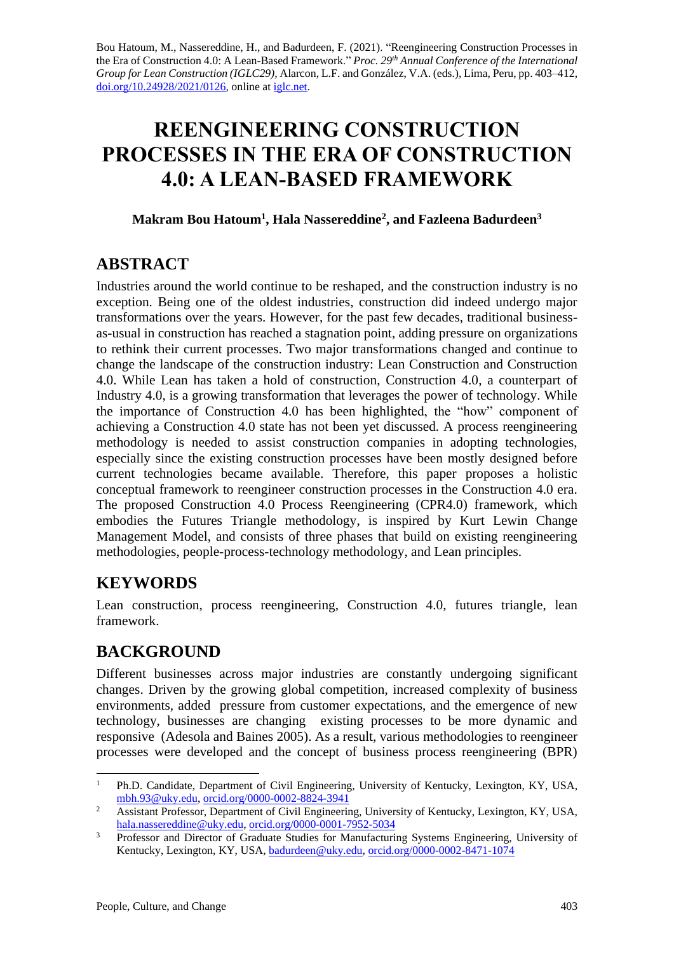Bou Hatoum, M., Nassereddine, H., and Badurdeen, F. (2021). "Reengineering Construction Processes in the Era of Construction 4.0: A Lean-Based Framework." *Proc. 29 th Annual Conference of the International Group for Lean Construction (IGLC29),* Alarcon, L.F. and González, V.A. (eds.)*,* Lima, Peru, pp. 403–412, [doi.org/10.24928/2021/0126,](https://doi.org/10.24928/2021/0126) online a[t iglc.net.](http://iglc.net/)

# **REENGINEERING CONSTRUCTION PROCESSES IN THE ERA OF CONSTRUCTION 4.0: A LEAN-BASED FRAMEWORK**

#### **Makram Bou Hatoum<sup>1</sup> , Hala Nassereddine<sup>2</sup> , and Fazleena Badurdeen<sup>3</sup>**

### **ABSTRACT**

Industries around the world continue to be reshaped, and the construction industry is no exception. Being one of the oldest industries, construction did indeed undergo major transformations over the years. However, for the past few decades, traditional businessas-usual in construction has reached a stagnation point, adding pressure on organizations to rethink their current processes. Two major transformations changed and continue to change the landscape of the construction industry: Lean Construction and Construction 4.0. While Lean has taken a hold of construction, Construction 4.0, a counterpart of Industry 4.0, is a growing transformation that leverages the power of technology. While the importance of Construction 4.0 has been highlighted, the "how" component of achieving a Construction 4.0 state has not been yet discussed. A process reengineering methodology is needed to assist construction companies in adopting technologies, especially since the existing construction processes have been mostly designed before current technologies became available. Therefore, this paper proposes a holistic conceptual framework to reengineer construction processes in the Construction 4.0 era. The proposed Construction 4.0 Process Reengineering (CPR4.0) framework, which embodies the Futures Triangle methodology, is inspired by Kurt Lewin Change Management Model, and consists of three phases that build on existing reengineering methodologies, people-process-technology methodology, and Lean principles.

# **KEYWORDS**

Lean construction, process reengineering, Construction 4.0, futures triangle, lean framework.

# **BACKGROUND**

Different businesses across major industries are constantly undergoing significant changes. Driven by the growing global competition, increased complexity of business environments, added pressure from customer expectations, and the emergence of new technology, businesses are changing existing processes to be more dynamic and responsive (Adesola and Baines 2005). As a result, various methodologies to reengineer processes were developed and the concept of business process reengineering (BPR)

<sup>&</sup>lt;sup>1</sup> Ph.D. Candidate, Department of Civil Engineering, University of Kentucky, Lexington, KY, USA, [mbh.93@uky.edu,](mailto:mbh.93@uky.edu) [orcid.org/0000-0002-8824-3941](http://www.orcid.org/0000-0002-8824-3941)

<sup>&</sup>lt;sup>2</sup> Assistant Professor, Department of Civil Engineering, University of Kentucky, Lexington, KY, USA, [hala.nassereddine@uky.edu,](mailto:hala.nassereddine@uky.edu) [orcid.org/0000-0001-7952-5034](https://orcid.org/0000-0001-7952-5034)

<sup>&</sup>lt;sup>3</sup> Professor and Director of Graduate Studies for Manufacturing Systems Engineering, University of Kentucky, Lexington, KY, USA[, badurdeen@uky.edu,](mailto:badurdeen@uky.edu) [orcid.org/0000-0002-8471-1074](https://orcid.org/0000-0002-8471-1074)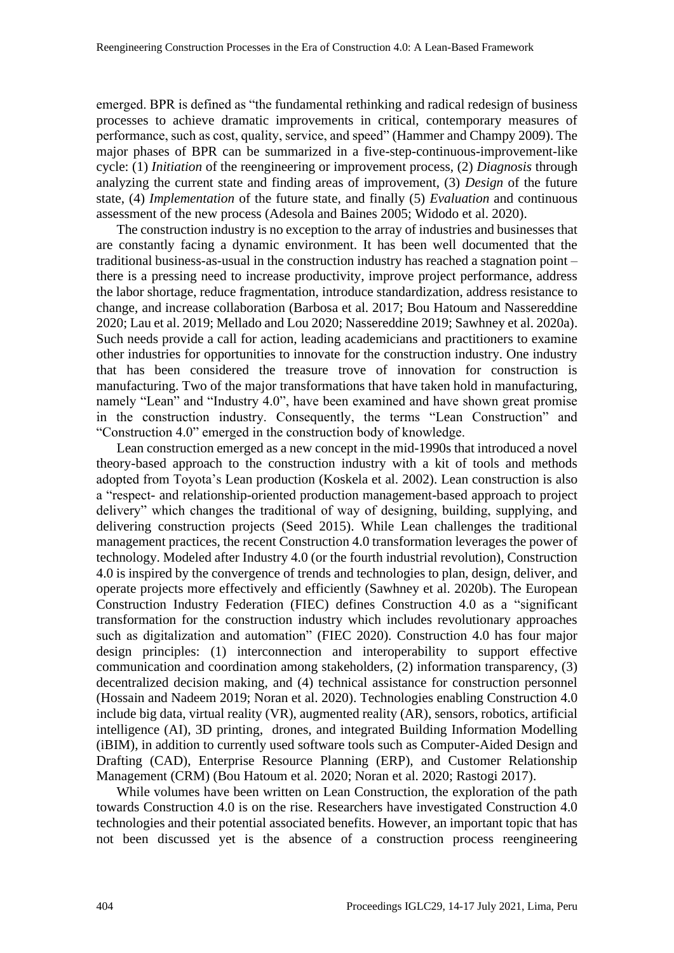emerged. BPR is defined as "the fundamental rethinking and radical redesign of business processes to achieve dramatic improvements in critical, contemporary measures of performance, such as cost, quality, service, and speed" (Hammer and Champy 2009). The major phases of BPR can be summarized in a five-step-continuous-improvement-like cycle: (1) *Initiation* of the reengineering or improvement process, (2) *Diagnosis* through analyzing the current state and finding areas of improvement, (3) *Design* of the future state, (4) *Implementation* of the future state, and finally (5) *Evaluation* and continuous assessment of the new process (Adesola and Baines 2005; Widodo et al. 2020).

The construction industry is no exception to the array of industries and businesses that are constantly facing a dynamic environment. It has been well documented that the traditional business-as-usual in the construction industry has reached a stagnation point – there is a pressing need to increase productivity, improve project performance, address the labor shortage, reduce fragmentation, introduce standardization, address resistance to change, and increase collaboration (Barbosa et al. 2017; Bou Hatoum and Nassereddine 2020; Lau et al. 2019; Mellado and Lou 2020; Nassereddine 2019; Sawhney et al. 2020a). Such needs provide a call for action, leading academicians and practitioners to examine other industries for opportunities to innovate for the construction industry. One industry that has been considered the treasure trove of innovation for construction is manufacturing. Two of the major transformations that have taken hold in manufacturing, namely "Lean" and "Industry 4.0", have been examined and have shown great promise in the construction industry. Consequently, the terms "Lean Construction" and "Construction 4.0" emerged in the construction body of knowledge.

Lean construction emerged as a new concept in the mid-1990s that introduced a novel theory-based approach to the construction industry with a kit of tools and methods adopted from Toyota's Lean production (Koskela et al. 2002). Lean construction is also a "respect- and relationship-oriented production management-based approach to project delivery" which changes the traditional of way of designing, building, supplying, and delivering construction projects (Seed 2015). While Lean challenges the traditional management practices, the recent Construction 4.0 transformation leverages the power of technology. Modeled after Industry 4.0 (or the fourth industrial revolution), Construction 4.0 is inspired by the convergence of trends and technologies to plan, design, deliver, and operate projects more effectively and efficiently (Sawhney et al. 2020b). The European Construction Industry Federation (FIEC) defines Construction 4.0 as a "significant transformation for the construction industry which includes revolutionary approaches such as digitalization and automation" (FIEC 2020). Construction 4.0 has four major design principles: (1) interconnection and interoperability to support effective communication and coordination among stakeholders, (2) information transparency, (3) decentralized decision making, and (4) technical assistance for construction personnel (Hossain and Nadeem 2019; Noran et al. 2020). Technologies enabling Construction 4.0 include big data, virtual reality (VR), augmented reality (AR), sensors, robotics, artificial intelligence (AI), 3D printing, drones, and integrated Building Information Modelling (iBIM), in addition to currently used software tools such as Computer-Aided Design and Drafting (CAD), Enterprise Resource Planning (ERP), and Customer Relationship Management (CRM) (Bou Hatoum et al. 2020; Noran et al. 2020; Rastogi 2017).

While volumes have been written on Lean Construction, the exploration of the path towards Construction 4.0 is on the rise. Researchers have investigated Construction 4.0 technologies and their potential associated benefits. However, an important topic that has not been discussed yet is the absence of a construction process reengineering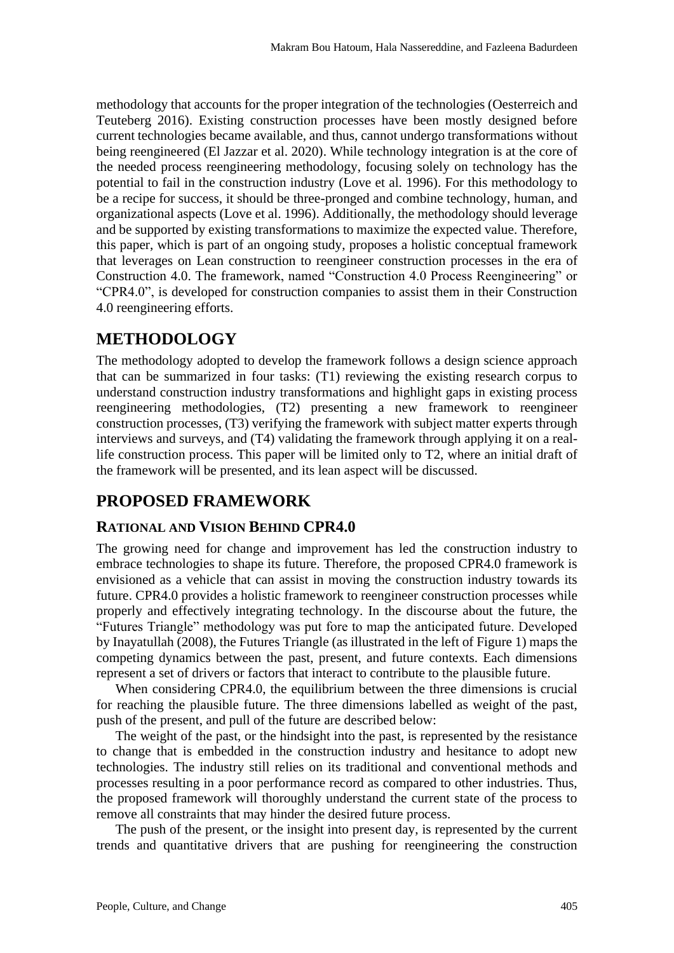methodology that accounts for the proper integration of the technologies (Oesterreich and Teuteberg 2016). Existing construction processes have been mostly designed before current technologies became available, and thus, cannot undergo transformations without being reengineered (El Jazzar et al. 2020). While technology integration is at the core of the needed process reengineering methodology, focusing solely on technology has the potential to fail in the construction industry (Love et al. 1996). For this methodology to be a recipe for success, it should be three-pronged and combine technology, human, and organizational aspects (Love et al. 1996). Additionally, the methodology should leverage and be supported by existing transformations to maximize the expected value. Therefore, this paper, which is part of an ongoing study, proposes a holistic conceptual framework that leverages on Lean construction to reengineer construction processes in the era of Construction 4.0. The framework, named "Construction 4.0 Process Reengineering" or "CPR4.0", is developed for construction companies to assist them in their Construction 4.0 reengineering efforts.

### **METHODOLOGY**

The methodology adopted to develop the framework follows a design science approach that can be summarized in four tasks: (T1) reviewing the existing research corpus to understand construction industry transformations and highlight gaps in existing process reengineering methodologies, (T2) presenting a new framework to reengineer construction processes, (T3) verifying the framework with subject matter experts through interviews and surveys, and (T4) validating the framework through applying it on a reallife construction process. This paper will be limited only to T2, where an initial draft of the framework will be presented, and its lean aspect will be discussed.

## **PROPOSED FRAMEWORK**

#### **RATIONAL AND VISION BEHIND CPR4.0**

The growing need for change and improvement has led the construction industry to embrace technologies to shape its future. Therefore, the proposed CPR4.0 framework is envisioned as a vehicle that can assist in moving the construction industry towards its future. CPR4.0 provides a holistic framework to reengineer construction processes while properly and effectively integrating technology. In the discourse about the future, the "Futures Triangle" methodology was put fore to map the anticipated future. Developed by Inayatullah (2008), the Futures Triangle (as illustrated in the left of Figure 1) maps the competing dynamics between the past, present, and future contexts. Each dimensions represent a set of drivers or factors that interact to contribute to the plausible future.

When considering CPR4.0, the equilibrium between the three dimensions is crucial for reaching the plausible future. The three dimensions labelled as weight of the past, push of the present, and pull of the future are described below:

The weight of the past, or the hindsight into the past, is represented by the resistance to change that is embedded in the construction industry and hesitance to adopt new technologies. The industry still relies on its traditional and conventional methods and processes resulting in a poor performance record as compared to other industries. Thus, the proposed framework will thoroughly understand the current state of the process to remove all constraints that may hinder the desired future process.

The push of the present, or the insight into present day, is represented by the current trends and quantitative drivers that are pushing for reengineering the construction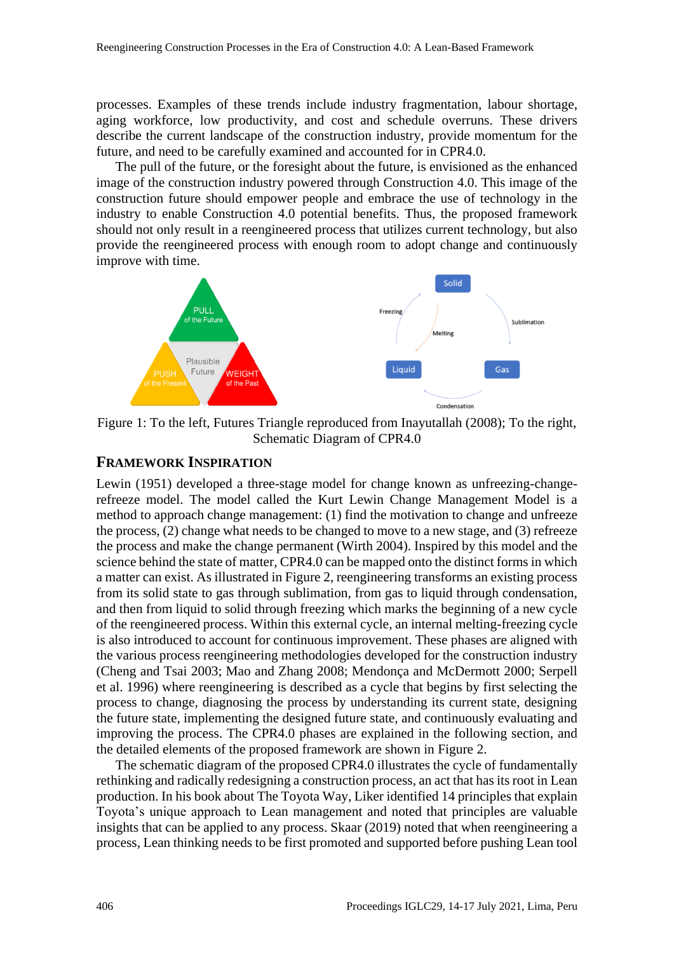processes. Examples of these trends include industry fragmentation, labour shortage, aging workforce, low productivity, and cost and schedule overruns. These drivers describe the current landscape of the construction industry, provide momentum for the future, and need to be carefully examined and accounted for in CPR4.0.

The pull of the future, or the foresight about the future, is envisioned as the enhanced image of the construction industry powered through Construction 4.0. This image of the construction future should empower people and embrace the use of technology in the industry to enable Construction 4.0 potential benefits. Thus, the proposed framework should not only result in a reengineered process that utilizes current technology, but also provide the reengineered process with enough room to adopt change and continuously improve with time.



Figure 1: To the left, Futures Triangle reproduced from Inayutallah (2008); To the right, Schematic Diagram of CPR4.0

#### **FRAMEWORK INSPIRATION**

Lewin (1951) developed a three-stage model for change known as unfreezing-changerefreeze model. The model called the Kurt Lewin Change Management Model is a method to approach change management: (1) find the motivation to change and unfreeze the process, (2) change what needs to be changed to move to a new stage, and (3) refreeze the process and make the change permanent (Wirth 2004). Inspired by this model and the science behind the state of matter, CPR4.0 can be mapped onto the distinct forms in which a matter can exist. As illustrated in Figure 2, reengineering transforms an existing process from its solid state to gas through sublimation, from gas to liquid through condensation, and then from liquid to solid through freezing which marks the beginning of a new cycle of the reengineered process. Within this external cycle, an internal melting-freezing cycle is also introduced to account for continuous improvement. These phases are aligned with the various process reengineering methodologies developed for the construction industry (Cheng and Tsai 2003; Mao and Zhang 2008; Mendonça and McDermott 2000; Serpell et al. 1996) where reengineering is described as a cycle that begins by first selecting the process to change, diagnosing the process by understanding its current state, designing the future state, implementing the designed future state, and continuously evaluating and improving the process. The CPR4.0 phases are explained in the following section, and the detailed elements of the proposed framework are shown in Figure 2.

The schematic diagram of the proposed CPR4.0 illustrates the cycle of fundamentally rethinking and radically redesigning a construction process, an act that has its root in Lean production. In his book about The Toyota Way, Liker identified 14 principles that explain Toyota's unique approach to Lean management and noted that principles are valuable insights that can be applied to any process. Skaar (2019) noted that when reengineering a process, Lean thinking needs to be first promoted and supported before pushing Lean tool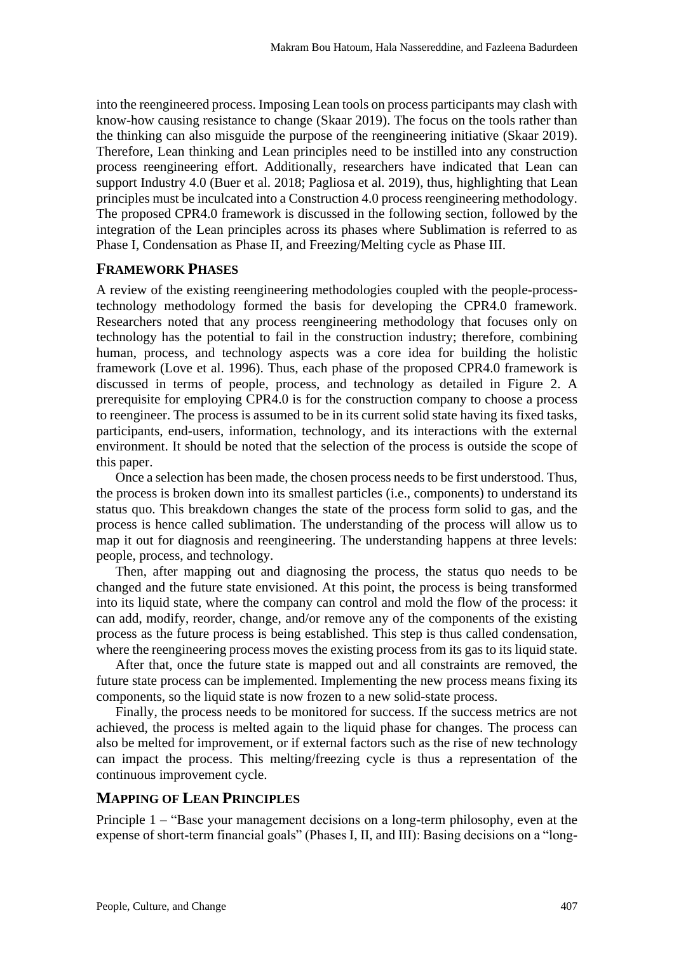into the reengineered process. Imposing Lean tools on process participants may clash with know-how causing resistance to change (Skaar 2019). The focus on the tools rather than the thinking can also misguide the purpose of the reengineering initiative (Skaar 2019). Therefore, Lean thinking and Lean principles need to be instilled into any construction process reengineering effort. Additionally, researchers have indicated that Lean can support Industry 4.0 (Buer et al. 2018; Pagliosa et al. 2019), thus, highlighting that Lean principles must be inculcated into a Construction 4.0 process reengineering methodology. The proposed CPR4.0 framework is discussed in the following section, followed by the integration of the Lean principles across its phases where Sublimation is referred to as Phase I, Condensation as Phase II, and Freezing/Melting cycle as Phase III.

#### **FRAMEWORK PHASES**

A review of the existing reengineering methodologies coupled with the people-processtechnology methodology formed the basis for developing the CPR4.0 framework. Researchers noted that any process reengineering methodology that focuses only on technology has the potential to fail in the construction industry; therefore, combining human, process, and technology aspects was a core idea for building the holistic framework (Love et al. 1996). Thus, each phase of the proposed CPR4.0 framework is discussed in terms of people, process, and technology as detailed in Figure 2. A prerequisite for employing CPR4.0 is for the construction company to choose a process to reengineer. The process is assumed to be in its current solid state having its fixed tasks, participants, end-users, information, technology, and its interactions with the external environment. It should be noted that the selection of the process is outside the scope of this paper.

Once a selection has been made, the chosen process needs to be first understood. Thus, the process is broken down into its smallest particles (i.e., components) to understand its status quo. This breakdown changes the state of the process form solid to gas, and the process is hence called sublimation. The understanding of the process will allow us to map it out for diagnosis and reengineering. The understanding happens at three levels: people, process, and technology.

Then, after mapping out and diagnosing the process, the status quo needs to be changed and the future state envisioned. At this point, the process is being transformed into its liquid state, where the company can control and mold the flow of the process: it can add, modify, reorder, change, and/or remove any of the components of the existing process as the future process is being established. This step is thus called condensation, where the reengineering process moves the existing process from its gas to its liquid state.

After that, once the future state is mapped out and all constraints are removed, the future state process can be implemented. Implementing the new process means fixing its components, so the liquid state is now frozen to a new solid-state process.

Finally, the process needs to be monitored for success. If the success metrics are not achieved, the process is melted again to the liquid phase for changes. The process can also be melted for improvement, or if external factors such as the rise of new technology can impact the process. This melting/freezing cycle is thus a representation of the continuous improvement cycle.

#### **MAPPING OF LEAN PRINCIPLES**

Principle 1 – "Base your management decisions on a long-term philosophy, even at the expense of short-term financial goals" (Phases I, II, and III): Basing decisions on a "long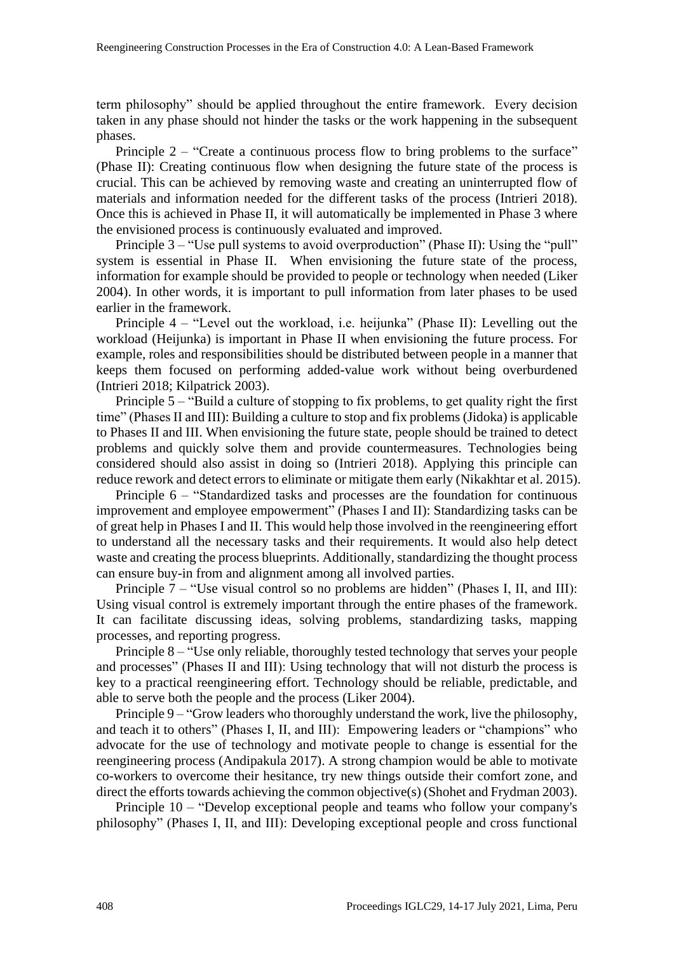term philosophy" should be applied throughout the entire framework. Every decision taken in any phase should not hinder the tasks or the work happening in the subsequent phases.

Principle 2 – "Create a continuous process flow to bring problems to the surface" (Phase II): Creating continuous flow when designing the future state of the process is crucial. This can be achieved by removing waste and creating an uninterrupted flow of materials and information needed for the different tasks of the process (Intrieri 2018). Once this is achieved in Phase II, it will automatically be implemented in Phase 3 where the envisioned process is continuously evaluated and improved.

Principle 3 – "Use pull systems to avoid overproduction" (Phase II): Using the "pull" system is essential in Phase II. When envisioning the future state of the process, information for example should be provided to people or technology when needed (Liker 2004). In other words, it is important to pull information from later phases to be used earlier in the framework.

Principle 4 – "Level out the workload, i.e. heijunka" (Phase II): Levelling out the workload (Heijunka) is important in Phase II when envisioning the future process. For example, roles and responsibilities should be distributed between people in a manner that keeps them focused on performing added-value work without being overburdened (Intrieri 2018; Kilpatrick 2003).

Principle 5 – "Build a culture of stopping to fix problems, to get quality right the first time" (Phases II and III): Building a culture to stop and fix problems (Jidoka) is applicable to Phases II and III. When envisioning the future state, people should be trained to detect problems and quickly solve them and provide countermeasures. Technologies being considered should also assist in doing so (Intrieri 2018). Applying this principle can reduce rework and detect errors to eliminate or mitigate them early (Nikakhtar et al. 2015).

Principle 6 – "Standardized tasks and processes are the foundation for continuous improvement and employee empowerment" (Phases I and II): Standardizing tasks can be of great help in Phases I and II. This would help those involved in the reengineering effort to understand all the necessary tasks and their requirements. It would also help detect waste and creating the process blueprints. Additionally, standardizing the thought process can ensure buy-in from and alignment among all involved parties.

Principle 7 – "Use visual control so no problems are hidden" (Phases I, II, and III): Using visual control is extremely important through the entire phases of the framework. It can facilitate discussing ideas, solving problems, standardizing tasks, mapping processes, and reporting progress.

Principle 8 – "Use only reliable, thoroughly tested technology that serves your people and processes" (Phases II and III): Using technology that will not disturb the process is key to a practical reengineering effort. Technology should be reliable, predictable, and able to serve both the people and the process (Liker 2004).

Principle 9 – "Grow leaders who thoroughly understand the work, live the philosophy, and teach it to others" (Phases I, II, and III): Empowering leaders or "champions" who advocate for the use of technology and motivate people to change is essential for the reengineering process (Andipakula 2017). A strong champion would be able to motivate co-workers to overcome their hesitance, try new things outside their comfort zone, and direct the efforts towards achieving the common objective(s) (Shohet and Frydman 2003).

Principle 10 – "Develop exceptional people and teams who follow your company's philosophy" (Phases I, II, and III): Developing exceptional people and cross functional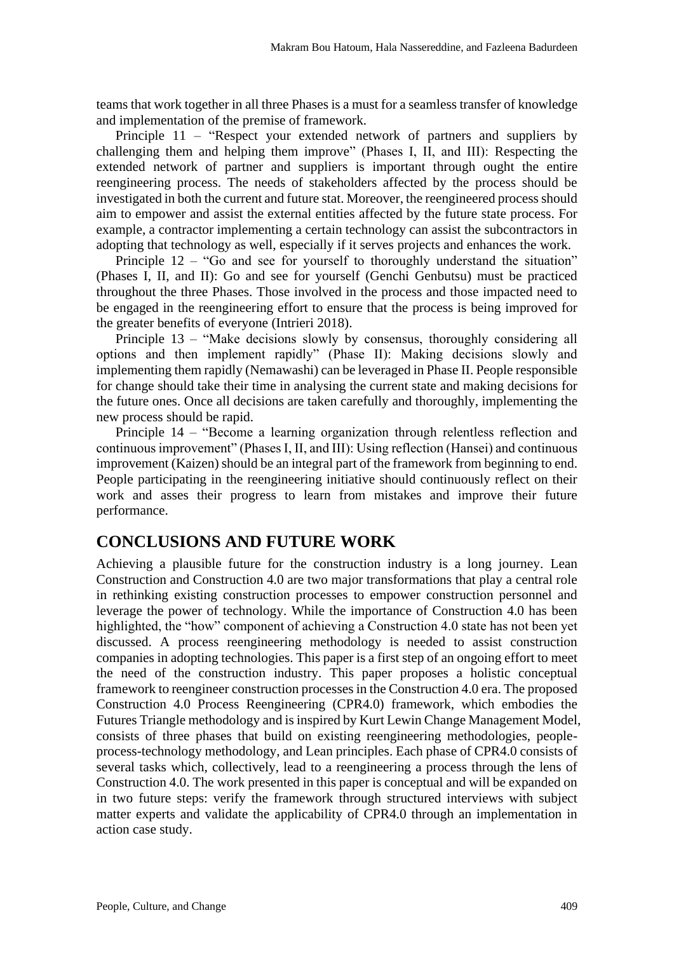teams that work together in all three Phases is a must for a seamless transfer of knowledge and implementation of the premise of framework.

Principle 11 – "Respect your extended network of partners and suppliers by challenging them and helping them improve" (Phases I, II, and III): Respecting the extended network of partner and suppliers is important through ought the entire reengineering process. The needs of stakeholders affected by the process should be investigated in both the current and future stat. Moreover, the reengineered process should aim to empower and assist the external entities affected by the future state process. For example, a contractor implementing a certain technology can assist the subcontractors in adopting that technology as well, especially if it serves projects and enhances the work.

Principle 12 – "Go and see for yourself to thoroughly understand the situation" (Phases I, II, and II): Go and see for yourself (Genchi Genbutsu) must be practiced throughout the three Phases. Those involved in the process and those impacted need to be engaged in the reengineering effort to ensure that the process is being improved for the greater benefits of everyone (Intrieri 2018).

Principle 13 – "Make decisions slowly by consensus, thoroughly considering all options and then implement rapidly" (Phase II): Making decisions slowly and implementing them rapidly (Nemawashi) can be leveraged in Phase II. People responsible for change should take their time in analysing the current state and making decisions for the future ones. Once all decisions are taken carefully and thoroughly, implementing the new process should be rapid.

Principle 14 – "Become a learning organization through relentless reflection and continuous improvement" (Phases I, II, and III): Using reflection (Hansei) and continuous improvement (Kaizen) should be an integral part of the framework from beginning to end. People participating in the reengineering initiative should continuously reflect on their work and asses their progress to learn from mistakes and improve their future performance.

### **CONCLUSIONS AND FUTURE WORK**

Achieving a plausible future for the construction industry is a long journey. Lean Construction and Construction 4.0 are two major transformations that play a central role in rethinking existing construction processes to empower construction personnel and leverage the power of technology. While the importance of Construction 4.0 has been highlighted, the "how" component of achieving a Construction 4.0 state has not been yet discussed. A process reengineering methodology is needed to assist construction companies in adopting technologies. This paper is a first step of an ongoing effort to meet the need of the construction industry. This paper proposes a holistic conceptual framework to reengineer construction processes in the Construction 4.0 era. The proposed Construction 4.0 Process Reengineering (CPR4.0) framework, which embodies the Futures Triangle methodology and is inspired by Kurt Lewin Change Management Model, consists of three phases that build on existing reengineering methodologies, peopleprocess-technology methodology, and Lean principles. Each phase of CPR4.0 consists of several tasks which, collectively, lead to a reengineering a process through the lens of Construction 4.0. The work presented in this paper is conceptual and will be expanded on in two future steps: verify the framework through structured interviews with subject matter experts and validate the applicability of CPR4.0 through an implementation in action case study.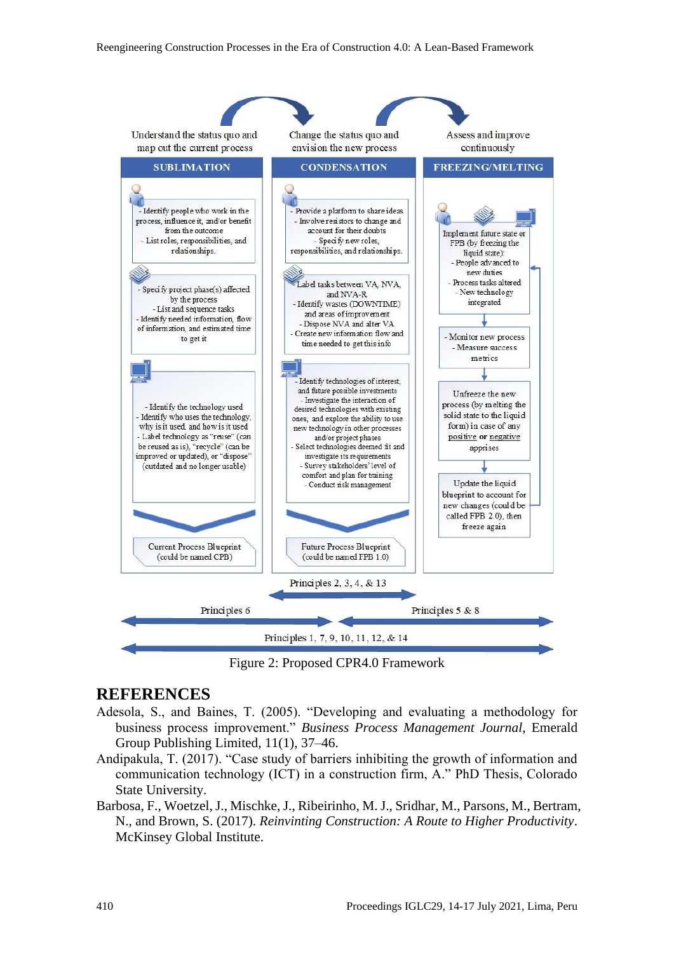

Figure 2: Proposed CPR4.0 Framework

#### **REFERENCES**

- Adesola, S., and Baines, T. (2005). "Developing and evaluating a methodology for business process improvement." *Business Process Management Journal*, Emerald Group Publishing Limited, 11(1), 37–46.
- Andipakula, T. (2017). "Case study of barriers inhibiting the growth of information and communication technology (ICT) in a construction firm, A." PhD Thesis, Colorado State University.
- Barbosa, F., Woetzel, J., Mischke, J., Ribeirinho, M. J., Sridhar, M., Parsons, M., Bertram, N., and Brown, S. (2017). *Reinvinting Construction: A Route to Higher Productivity*. McKinsey Global Institute.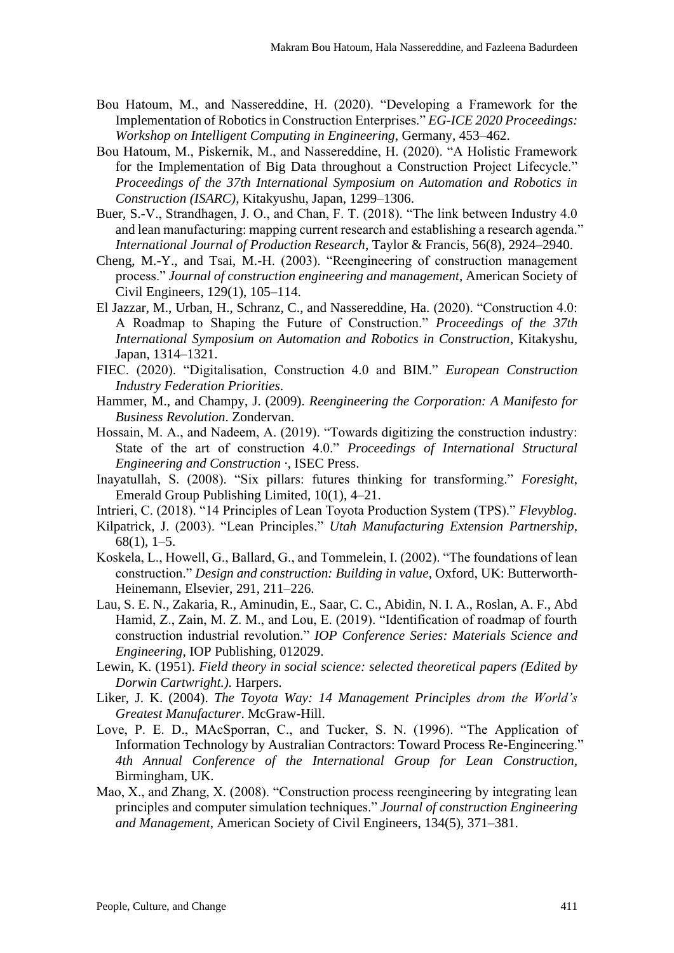- Bou Hatoum, M., and Nassereddine, H. (2020). "Developing a Framework for the Implementation of Robotics in Construction Enterprises." *EG-ICE 2020 Proceedings: Workshop on Intelligent Computing in Engineering*, Germany, 453–462.
- Bou Hatoum, M., Piskernik, M., and Nassereddine, H. (2020). "A Holistic Framework for the Implementation of Big Data throughout a Construction Project Lifecycle." *Proceedings of the 37th International Symposium on Automation and Robotics in Construction (ISARC)*, Kitakyushu, Japan, 1299–1306.
- Buer, S.-V., Strandhagen, J. O., and Chan, F. T. (2018). "The link between Industry 4.0 and lean manufacturing: mapping current research and establishing a research agenda." *International Journal of Production Research*, Taylor & Francis, 56(8), 2924–2940.
- Cheng, M.-Y., and Tsai, M.-H. (2003). "Reengineering of construction management process." *Journal of construction engineering and management*, American Society of Civil Engineers, 129(1), 105–114.
- El Jazzar, M., Urban, H., Schranz, C., and Nassereddine, Ha. (2020). "Construction 4.0: A Roadmap to Shaping the Future of Construction." *Proceedings of the 37th International Symposium on Automation and Robotics in Construction*, Kitakyshu, Japan, 1314–1321.
- FIEC. (2020). "Digitalisation, Construction 4.0 and BIM." *European Construction Industry Federation Priorities*.
- Hammer, M., and Champy, J. (2009). *Reengineering the Corporation: A Manifesto for Business Revolution*. Zondervan.
- Hossain, M. A., and Nadeem, A. (2019). "Towards digitizing the construction industry: State of the art of construction 4.0." *Proceedings of International Structural Engineering and Construction ·*, ISEC Press.
- Inayatullah, S. (2008). "Six pillars: futures thinking for transforming." *Foresight*, Emerald Group Publishing Limited, 10(1), 4–21.
- Intrieri, C. (2018). "14 Principles of Lean Toyota Production System (TPS)." *Flevyblog*.
- Kilpatrick, J. (2003). "Lean Principles." *Utah Manufacturing Extension Partnership*, 68(1), 1–5.
- Koskela, L., Howell, G., Ballard, G., and Tommelein, I. (2002). "The foundations of lean construction." *Design and construction: Building in value*, Oxford, UK: Butterworth-Heinemann, Elsevier, 291, 211–226.
- Lau, S. E. N., Zakaria, R., Aminudin, E., Saar, C. C., Abidin, N. I. A., Roslan, A. F., Abd Hamid, Z., Zain, M. Z. M., and Lou, E. (2019). "Identification of roadmap of fourth construction industrial revolution." *IOP Conference Series: Materials Science and Engineering*, IOP Publishing, 012029.
- Lewin, K. (1951). *Field theory in social science: selected theoretical papers (Edited by Dorwin Cartwright.).* Harpers.
- Liker, J. K. (2004). *The Toyota Way: 14 Management Principles drom the World's Greatest Manufacturer*. McGraw-Hill.
- Love, P. E. D., MAcSporran, C., and Tucker, S. N. (1996). "The Application of Information Technology by Australian Contractors: Toward Process Re-Engineering." *4th Annual Conference of the International Group for Lean Construction*, Birmingham, UK.
- Mao, X., and Zhang, X. (2008). "Construction process reengineering by integrating lean principles and computer simulation techniques." *Journal of construction Engineering and Management*, American Society of Civil Engineers, 134(5), 371–381.